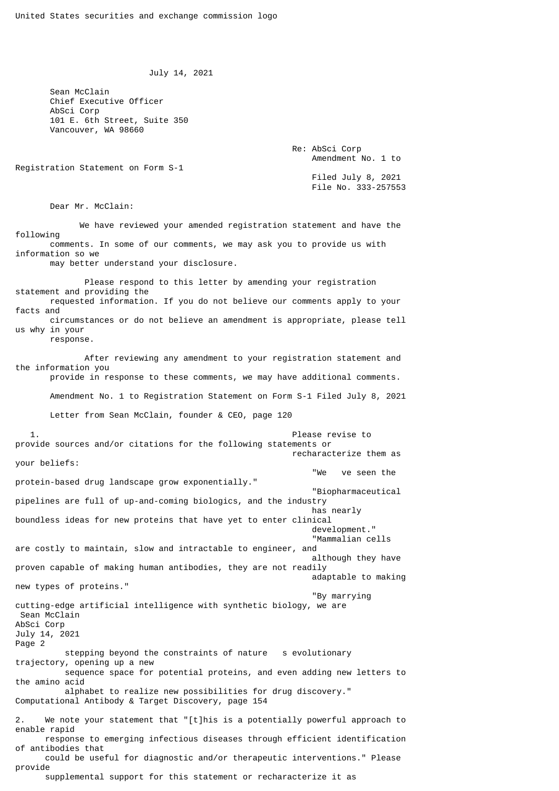July 14, 2021

 Sean McClain Chief Executive Officer AbSci Corp 101 E. 6th Street, Suite 350 Vancouver, WA 98660

> Re: AbSci Corp Amendment No. 1 to

Registration Statement on Form S-1

 Filed July 8, 2021 File No. 333-257553

Dear Mr. McClain:

 We have reviewed your amended registration statement and have the following comments. In some of our comments, we may ask you to provide us with information so we

may better understand your disclosure.

 Please respond to this letter by amending your registration statement and providing the requested information. If you do not believe our comments apply to your facts and circumstances or do not believe an amendment is appropriate, please tell us why in your

response.

provide

 After reviewing any amendment to your registration statement and the information you

provide in response to these comments, we may have additional comments.

Amendment No. 1 to Registration Statement on Form S-1 Filed July 8, 2021

Letter from Sean McClain, founder & CEO, page 120

 1. Please revise to provide sources and/or citations for the following statements or recharacterize them as your beliefs: "We ve seen the protein-based drug landscape grow exponentially." "Biopharmaceutical pipelines are full of up-and-coming biologics, and the industry has nearly boundless ideas for new proteins that have yet to enter clinical development." "Mammalian cells are costly to maintain, slow and intractable to engineer, and although they have proven capable of making human antibodies, they are not readily adaptable to making new types of proteins." "By marrying cutting-edge artificial intelligence with synthetic biology, we are Sean McClain AbSci Corp July 14, 2021 Page 2 stepping beyond the constraints of nature s evolutionary trajectory, opening up a new sequence space for potential proteins, and even adding new letters to the amino acid alphabet to realize new possibilities for drug discovery." Computational Antibody & Target Discovery, page 154 2. We note your statement that "[t]his is a potentially powerful approach to enable rapid response to emerging infectious diseases through efficient identification of antibodies that could be useful for diagnostic and/or therapeutic interventions." Please

supplemental support for this statement or recharacterize it as